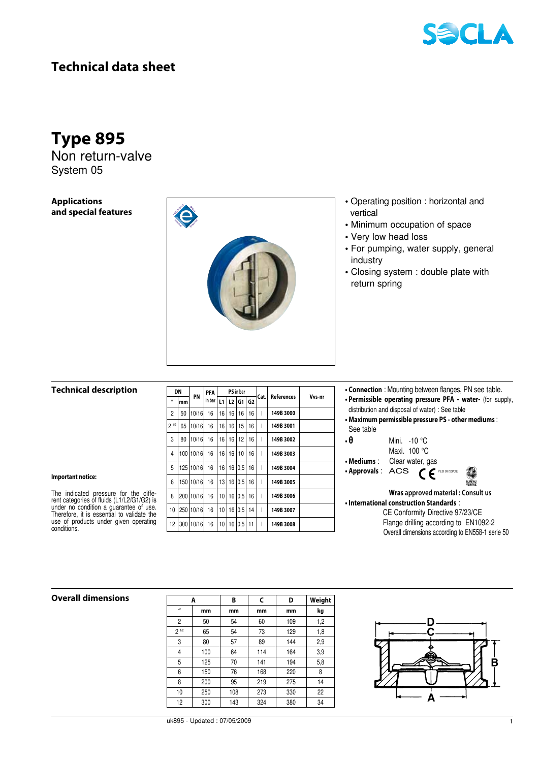

## **Technical data sheet**

# **Type 895**

Non return-valve System 05

**Applications and special features**



- Operating position : horizontal and vertical
- Minimum occupation of space
- Very low head loss
- For pumping, water supply, general industry
- Closing system : double plate with return spring

#### **Technical description**

The indicated pressure for the diffe- rent categories of fluids (L1/L2/G1/G2) is under no condition a guarantee of use. Therefore, it is essential to validate the<br>use of products under given operating

**Important notice:** 

conditions.

| DN               |     |           | PFA      | PS in bar |    |       |                |      |            |        |  |
|------------------|-----|-----------|----------|-----------|----|-------|----------------|------|------------|--------|--|
| $\boldsymbol{u}$ | mm  | PN        | in bar l | L1        |    | L2 G1 | G <sub>2</sub> | Cat. | References | Vvs-nr |  |
| $\overline{2}$   | 50  | 10/16     | 16       | 16        | 16 | 16    | 16             | ı    | 149B 3000  |        |  |
| $2^{1/2}$        | 65  | 10/16     | 16       | 16        | 16 | 15    | 16             | ı    | 149B 3001  |        |  |
| 3                | 80  | 10/16     | 16       | 16        | 16 | 12    | 16             | I    | 149B 3002  |        |  |
| 4                |     | 100 10/16 | 16       | 16        | 16 | 10    | 16             | I    | 149B 3003  |        |  |
| 5                |     | 125 10/16 | 16       | 16        | 16 | 0.5   | 16             | I    | 149B 3004  |        |  |
| 6                |     | 150 10/16 | 16       | 13        | 16 | 0.5   | 16             | ı    | 149B 3005  |        |  |
| 8                |     | 200 10/16 | 16       | 10        | 16 | 0.5   | 16             | I    | 149B 3006  |        |  |
| 10               |     | 250 10/16 | 16       | 10        | 16 | 0.5   | 14             | I    | 149B 3007  |        |  |
| 12               | 300 | 10/16     | 16       | 10        | 16 | 0.5   | 11             | ı    | 149B 3008  |        |  |

- **Connection** : Mounting between flanges, PN see table. **• Permissible operating pressure PFA - water-** (for supply,
- distribution and disposal of water) : See table
- **Maximum permissible pressure PS other mediums** : See table
- **θ** Mini. -10 °C Maxi. 100 °C
- **Mediums** : Clear water, gas
- **Approvals** : ACS  $\mathcal{C}$  PED 97/23/CE
- **Wras approved material : Consult us • International construction Standards** : CE Conformity Directive 97/23/CE
	- Flange drilling according to EN1092-2 Overall dimensions according to EN558-1 serie 50

## $Overall$  **dimensions**

|                  | A   | C<br>B |     | D   | Weight |
|------------------|-----|--------|-----|-----|--------|
| $\boldsymbol{u}$ | mm  | mm     | mm  | mm  | kg     |
| 2                | 50  | 54     | 60  | 109 | 1,2    |
| $2^{1/2}$        | 65  | 54     | 73  | 129 | 1,8    |
| 3                | 80  | 57     | 89  | 144 | 2,9    |
| 4                | 100 | 64     | 114 | 164 | 3.9    |
| 5                | 125 | 70     | 141 | 194 | 5,8    |
| 6                | 150 | 76     | 168 | 220 | 8      |
| 8                | 200 | 95     | 219 | 275 | 14     |
| 10               | 250 | 108    | 273 | 330 | 22     |
| 12               | 300 | 143    | 324 | 380 | 34     |